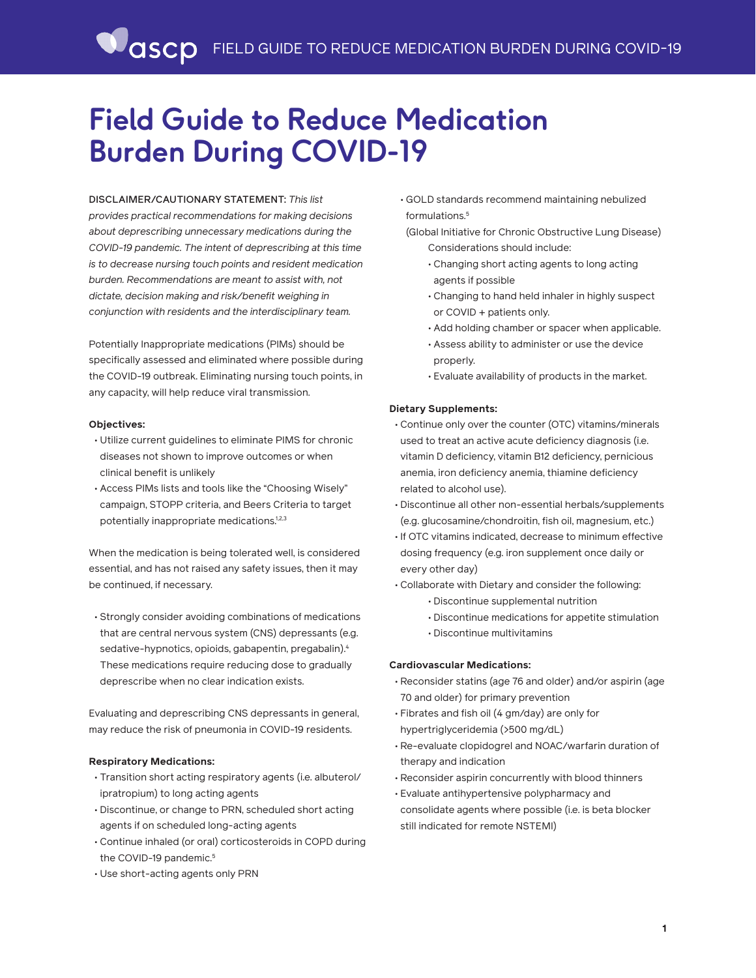# **Field Guide to Reduce Medication Burden During COVID-19**

## DISCLAIMER/CAUTIONARY STATEMENT: *This list*

*provides practical recommendations for making decisions about deprescribing unnecessary medications during the COVID-19 pandemic. The intent of deprescribing at this time is to decrease nursing touch points and resident medication burden. Recommendations are meant to assist with, not dictate, decision making and risk/benefit weighing in conjunction with residents and the interdisciplinary team.* 

Potentially Inappropriate medications (PIMs) should be specifically assessed and eliminated where possible during the COVID-19 outbreak. Eliminating nursing touch points, in any capacity, will help reduce viral transmission.

## **Objectives:**

- Utilize current guidelines to eliminate PIMS for chronic diseases not shown to improve outcomes or when clinical benefit is unlikely
- Access PIMs lists and tools like the "Choosing Wisely" campaign, STOPP criteria, and Beers Criteria to target potentially inappropriate medications.<sup>1,2,3</sup>

When the medication is being tolerated well, is considered essential, and has not raised any safety issues, then it may be continued, if necessary.

• Strongly consider avoiding combinations of medications that are central nervous system (CNS) depressants (e.g. sedative-hypnotics, opioids, gabapentin, pregabalin).<sup>4</sup> These medications require reducing dose to gradually deprescribe when no clear indication exists.

Evaluating and deprescribing CNS depressants in general, may reduce the risk of pneumonia in COVID-19 residents.

## **Respiratory Medications:**

- Transition short acting respiratory agents (i.e. albuterol/ ipratropium) to long acting agents
- Discontinue, or change to PRN, scheduled short acting agents if on scheduled long-acting agents
- Continue inhaled (or oral) corticosteroids in COPD during the COVID-19 pandemic.<sup>5</sup>
- Use short-acting agents only PRN

• GOLD standards recommend maintaining nebulized formulations.5

(Global Initiative for Chronic Obstructive Lung Disease) Considerations should include:

- Changing short acting agents to long acting agents if possible
- Changing to hand held inhaler in highly suspect or COVID + patients only.
- Add holding chamber or spacer when applicable.
- Assess ability to administer or use the device properly.
- Evaluate availability of products in the market.

## **Dietary Supplements:**

- Continue only over the counter (OTC) vitamins/minerals used to treat an active acute deficiency diagnosis (i.e. vitamin D deficiency, vitamin B12 deficiency, pernicious anemia, iron deficiency anemia, thiamine deficiency related to alcohol use).
- Discontinue all other non-essential herbals/supplements (e.g. glucosamine/chondroitin, fish oil, magnesium, etc.)
- If OTC vitamins indicated, decrease to minimum effective dosing frequency (e.g. iron supplement once daily or every other day)
- Collaborate with Dietary and consider the following:
	- Discontinue supplemental nutrition
	- Discontinue medications for appetite stimulation
	- Discontinue multivitamins

## **Cardiovascular Medications:**

- Reconsider statins (age 76 and older) and/or aspirin (age 70 and older) for primary prevention
- Fibrates and fish oil (4 gm/day) are only for hypertriglyceridemia (>500 mg/dL)
- Re-evaluate clopidogrel and NOAC/warfarin duration of therapy and indication
- Reconsider aspirin concurrently with blood thinners
- Evaluate antihypertensive polypharmacy and consolidate agents where possible (i.e. is beta blocker still indicated for remote NSTEMI)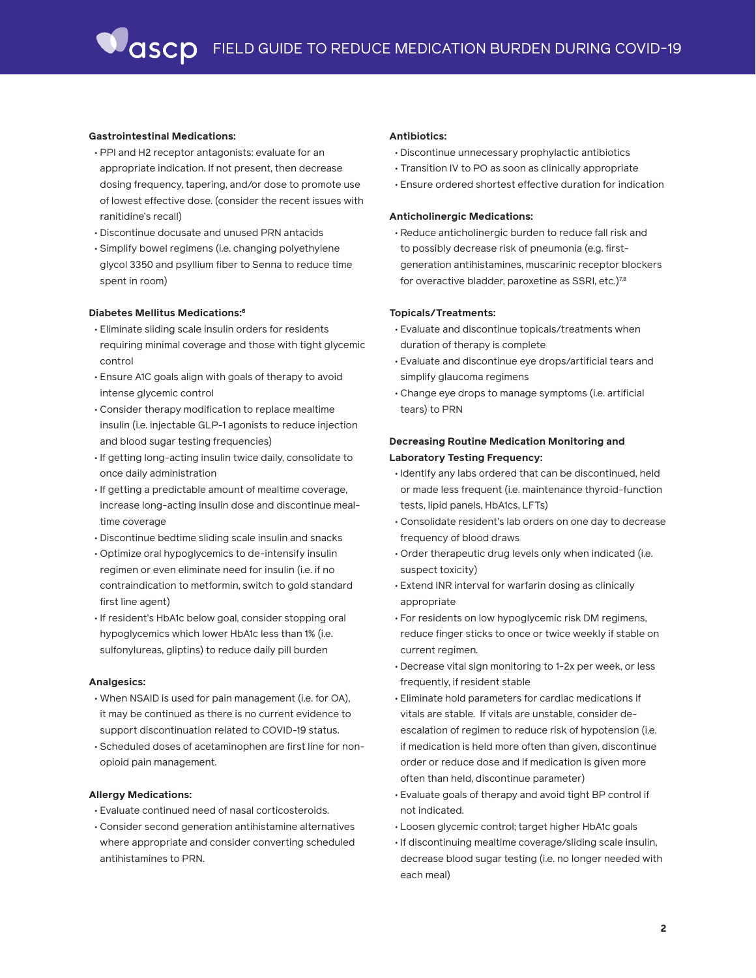### **Gastrointestinal Medications:**

- PPI and H2 receptor antagonists: evaluate for an appropriate indication. If not present, then decrease dosing frequency, tapering, and/or dose to promote use of lowest effective dose. (consider the recent issues with ranitidine's recall)
- Discontinue docusate and unused PRN antacids
- Simplify bowel regimens (i.e. changing polyethylene glycol 3350 and psyllium fiber to Senna to reduce time spent in room)

#### **Diabetes Mellitus Medications:6**

- Eliminate sliding scale insulin orders for residents requiring minimal coverage and those with tight glycemic control
- Ensure A1C goals align with goals of therapy to avoid intense glycemic control
- Consider therapy modification to replace mealtime insulin (i.e. injectable GLP-1 agonists to reduce injection and blood sugar testing frequencies)
- If getting long-acting insulin twice daily, consolidate to once daily administration
- If getting a predictable amount of mealtime coverage, increase long-acting insulin dose and discontinue mealtime coverage
- Discontinue bedtime sliding scale insulin and snacks
- Optimize oral hypoglycemics to de-intensify insulin regimen or even eliminate need for insulin (i.e. if no contraindication to metformin, switch to gold standard first line agent)
- If resident's HbA1c below goal, consider stopping oral hypoglycemics which lower HbA1c less than 1% (i.e. sulfonylureas, gliptins) to reduce daily pill burden

#### **Analgesics:**

- When NSAID is used for pain management (i.e. for OA), it may be continued as there is no current evidence to support discontinuation related to COVID-19 status.
- Scheduled doses of acetaminophen are first line for nonopioid pain management.

#### **Allergy Medications:**

- Evaluate continued need of nasal corticosteroids.
- Consider second generation antihistamine alternatives where appropriate and consider converting scheduled antihistamines to PRN.

#### **Antibiotics:**

- Discontinue unnecessary prophylactic antibiotics
- Transition IV to PO as soon as clinically appropriate
- Ensure ordered shortest effective duration for indication

#### **Anticholinergic Medications:**

• Reduce anticholinergic burden to reduce fall risk and to possibly decrease risk of pneumonia (e.g. firstgeneration antihistamines, muscarinic receptor blockers for overactive bladder, paroxetine as SSRI, etc.)<sup>7,8</sup>

#### **Topicals/Treatments:**

- Evaluate and discontinue topicals/treatments when duration of therapy is complete
- Evaluate and discontinue eye drops/artificial tears and simplify glaucoma regimens
- Change eye drops to manage symptoms (i.e. artificial tears) to PRN

## **Decreasing Routine Medication Monitoring and Laboratory Testing Frequency:**

- Identify any labs ordered that can be discontinued, held or made less frequent (i.e. maintenance thyroid-function tests, lipid panels, HbA1cs, LFTs)
- Consolidate resident's lab orders on one day to decrease frequency of blood draws
- Order therapeutic drug levels only when indicated (i.e. suspect toxicity)
- Extend INR interval for warfarin dosing as clinically appropriate
- For residents on low hypoglycemic risk DM regimens, reduce finger sticks to once or twice weekly if stable on current regimen.
- Decrease vital sign monitoring to 1-2x per week, or less frequently, if resident stable
- Eliminate hold parameters for cardiac medications if vitals are stable. If vitals are unstable, consider deescalation of regimen to reduce risk of hypotension (i.e. if medication is held more often than given, discontinue order or reduce dose and if medication is given more often than held, discontinue parameter)
- Evaluate goals of therapy and avoid tight BP control if not indicated.
- Loosen glycemic control; target higher HbA1c goals
- If discontinuing mealtime coverage/sliding scale insulin, decrease blood sugar testing (i.e. no longer needed with each meal)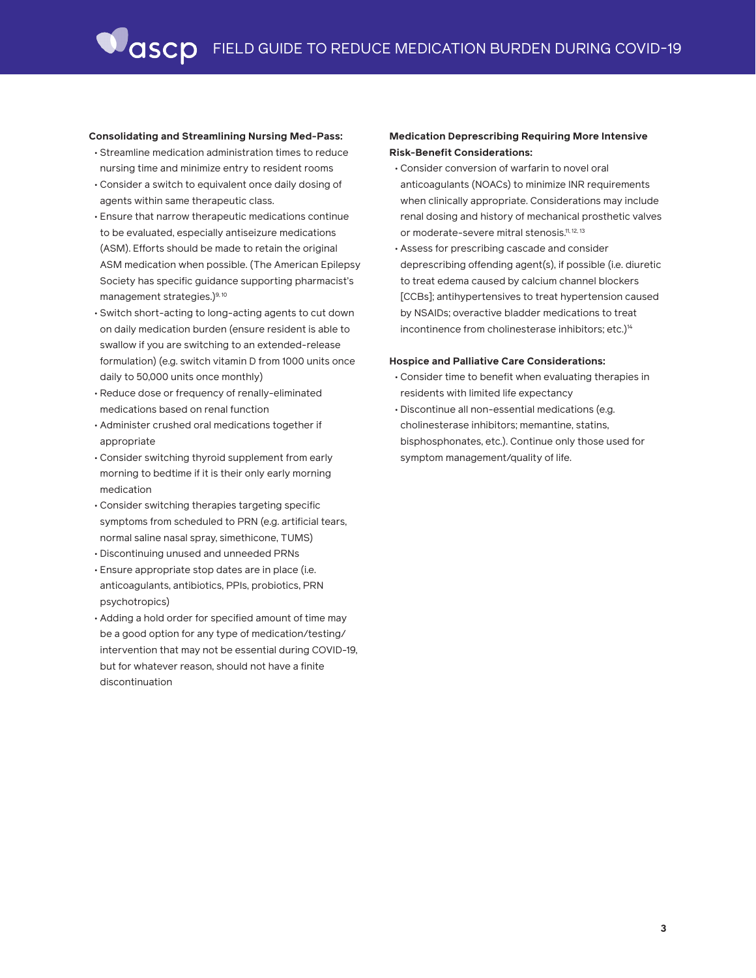#### **Consolidating and Streamlining Nursing Med-Pass:**

- Streamline medication administration times to reduce nursing time and minimize entry to resident rooms
- Consider a switch to equivalent once daily dosing of agents within same therapeutic class.
- Ensure that narrow therapeutic medications continue to be evaluated, especially antiseizure medications (ASM). Efforts should be made to retain the original ASM medication when possible. (The American Epilepsy Society has specific guidance supporting pharmacist's management strategies.)<sup>9, 10</sup>
- Switch short-acting to long-acting agents to cut down on daily medication burden (ensure resident is able to swallow if you are switching to an extended-release formulation) (e.g. switch vitamin D from 1000 units once daily to 50,000 units once monthly)
- Reduce dose or frequency of renally-eliminated medications based on renal function
- Administer crushed oral medications together if appropriate
- Consider switching thyroid supplement from early morning to bedtime if it is their only early morning medication
- Consider switching therapies targeting specific symptoms from scheduled to PRN (e.g. artificial tears, normal saline nasal spray, simethicone, TUMS)
- Discontinuing unused and unneeded PRNs
- Ensure appropriate stop dates are in place (i.e. anticoagulants, antibiotics, PPIs, probiotics, PRN psychotropics)
- Adding a hold order for specified amount of time may be a good option for any type of medication/testing/ intervention that may not be essential during COVID-19, but for whatever reason, should not have a finite discontinuation

## **Medication Deprescribing Requiring More Intensive Risk-Benefit Considerations:**

- Consider conversion of warfarin to novel oral anticoagulants (NOACs) to minimize INR requirements when clinically appropriate. Considerations may include renal dosing and history of mechanical prosthetic valves or moderate-severe mitral stenosis.<sup>11, 12, 13</sup>
- Assess for prescribing cascade and consider deprescribing offending agent(s), if possible (i.e. diuretic to treat edema caused by calcium channel blockers [CCBs]; antihypertensives to treat hypertension caused by NSAIDs; overactive bladder medications to treat incontinence from cholinesterase inhibitors; etc.)<sup>14</sup>

#### **Hospice and Palliative Care Considerations:**

- Consider time to benefit when evaluating therapies in residents with limited life expectancy
- Discontinue all non-essential medications (e.g. cholinesterase inhibitors; memantine, statins, bisphosphonates, etc.). Continue only those used for symptom management/quality of life.